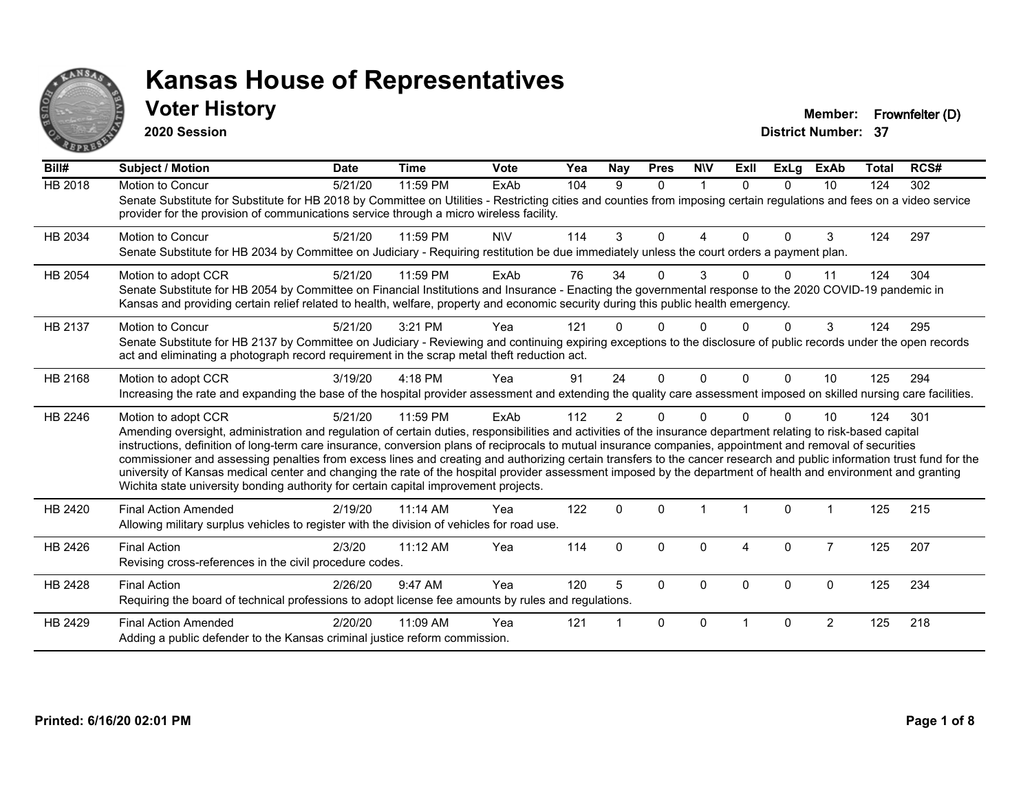

### **Voter History Member: Frownfelter (D)**

**2020 Session**

| Bill#          | Subject / Motion                                                                                                                                                                                                                                                                                                                                                                                                                                                                                                                                                                                                                                                                                                                                                                         | <b>Date</b> | <b>Time</b> | <b>Vote</b> | Yea | Nay            | <b>Pres</b> | <b>NIV</b>     | ExII     | <b>ExLg</b> | <b>ExAb</b>    | <b>Total</b> | RCS# |
|----------------|------------------------------------------------------------------------------------------------------------------------------------------------------------------------------------------------------------------------------------------------------------------------------------------------------------------------------------------------------------------------------------------------------------------------------------------------------------------------------------------------------------------------------------------------------------------------------------------------------------------------------------------------------------------------------------------------------------------------------------------------------------------------------------------|-------------|-------------|-------------|-----|----------------|-------------|----------------|----------|-------------|----------------|--------------|------|
| <b>HB 2018</b> | Motion to Concur<br>Senate Substitute for Substitute for HB 2018 by Committee on Utilities - Restricting cities and counties from imposing certain regulations and fees on a video service<br>provider for the provision of communications service through a micro wireless facility.                                                                                                                                                                                                                                                                                                                                                                                                                                                                                                    | 5/21/20     | 11:59 PM    | <b>ExAb</b> | 104 | 9              | $\Omega$    | $\overline{1}$ | $\Omega$ | $\Omega$    | 10             | 124          | 302  |
| HB 2034        | <b>Motion to Concur</b><br>Senate Substitute for HB 2034 by Committee on Judiciary - Requiring restitution be due immediately unless the court orders a payment plan.                                                                                                                                                                                                                                                                                                                                                                                                                                                                                                                                                                                                                    | 5/21/20     | 11:59 PM    | <b>NIV</b>  | 114 | 3              | 0           | 4              | $\Omega$ | $\Omega$    | 3              | 124          | 297  |
| HB 2054        | Motion to adopt CCR<br>Senate Substitute for HB 2054 by Committee on Financial Institutions and Insurance - Enacting the governmental response to the 2020 COVID-19 pandemic in<br>Kansas and providing certain relief related to health, welfare, property and economic security during this public health emergency.                                                                                                                                                                                                                                                                                                                                                                                                                                                                   | 5/21/20     | 11:59 PM    | ExAb        | 76  | 34             | 0           | 3              |          | $\Omega$    | 11             | 124          | 304  |
| HB 2137        | Motion to Concur<br>Senate Substitute for HB 2137 by Committee on Judiciary - Reviewing and continuing expiring exceptions to the disclosure of public records under the open records<br>act and eliminating a photograph record requirement in the scrap metal theft reduction act.                                                                                                                                                                                                                                                                                                                                                                                                                                                                                                     | 5/21/20     | 3:21 PM     | Yea         | 121 |                |             |                |          |             | 3              | 124          | 295  |
| HB 2168        | Motion to adopt CCR<br>Increasing the rate and expanding the base of the hospital provider assessment and extending the quality care assessment imposed on skilled nursing care facilities.                                                                                                                                                                                                                                                                                                                                                                                                                                                                                                                                                                                              | 3/19/20     | 4:18 PM     | Yea         | 91  | 24             | $\Omega$    | $\Omega$       | $\Omega$ | $\Omega$    | 10             | 125          | 294  |
| HB 2246        | Motion to adopt CCR<br>Amending oversight, administration and regulation of certain duties, responsibilities and activities of the insurance department relating to risk-based capital<br>instructions, definition of long-term care insurance, conversion plans of reciprocals to mutual insurance companies, appointment and removal of securities<br>commissioner and assessing penalties from excess lines and creating and authorizing certain transfers to the cancer research and public information trust fund for the<br>university of Kansas medical center and changing the rate of the hospital provider assessment imposed by the department of health and environment and granting<br>Wichita state university bonding authority for certain capital improvement projects. | 5/21/20     | 11:59 PM    | ExAb        | 112 | $\overline{2}$ | 0           | 0              |          | $\Omega$    | 10             | 124          | 301  |
| HB 2420        | <b>Final Action Amended</b><br>Allowing military surplus vehicles to register with the division of vehicles for road use.                                                                                                                                                                                                                                                                                                                                                                                                                                                                                                                                                                                                                                                                | 2/19/20     | 11:14 AM    | Yea         | 122 | $\Omega$       | $\Omega$    |                |          | $\Omega$    |                | 125          | 215  |
| HB 2426        | <b>Final Action</b><br>Revising cross-references in the civil procedure codes.                                                                                                                                                                                                                                                                                                                                                                                                                                                                                                                                                                                                                                                                                                           | 2/3/20      | 11:12 AM    | Yea         | 114 | $\Omega$       | 0           | $\Omega$       | 4        | $\Omega$    | $\overline{7}$ | 125          | 207  |
| HB 2428        | <b>Final Action</b><br>Requiring the board of technical professions to adopt license fee amounts by rules and regulations.                                                                                                                                                                                                                                                                                                                                                                                                                                                                                                                                                                                                                                                               | 2/26/20     | 9:47 AM     | Yea         | 120 | 5              | $\Omega$    | $\Omega$       | $\Omega$ | $\Omega$    | $\Omega$       | 125          | 234  |
| HB 2429        | <b>Final Action Amended</b><br>Adding a public defender to the Kansas criminal justice reform commission.                                                                                                                                                                                                                                                                                                                                                                                                                                                                                                                                                                                                                                                                                | 2/20/20     | 11:09 AM    | Yea         | 121 |                | $\Omega$    | $\Omega$       |          | $\Omega$    | $\overline{2}$ | 125          | 218  |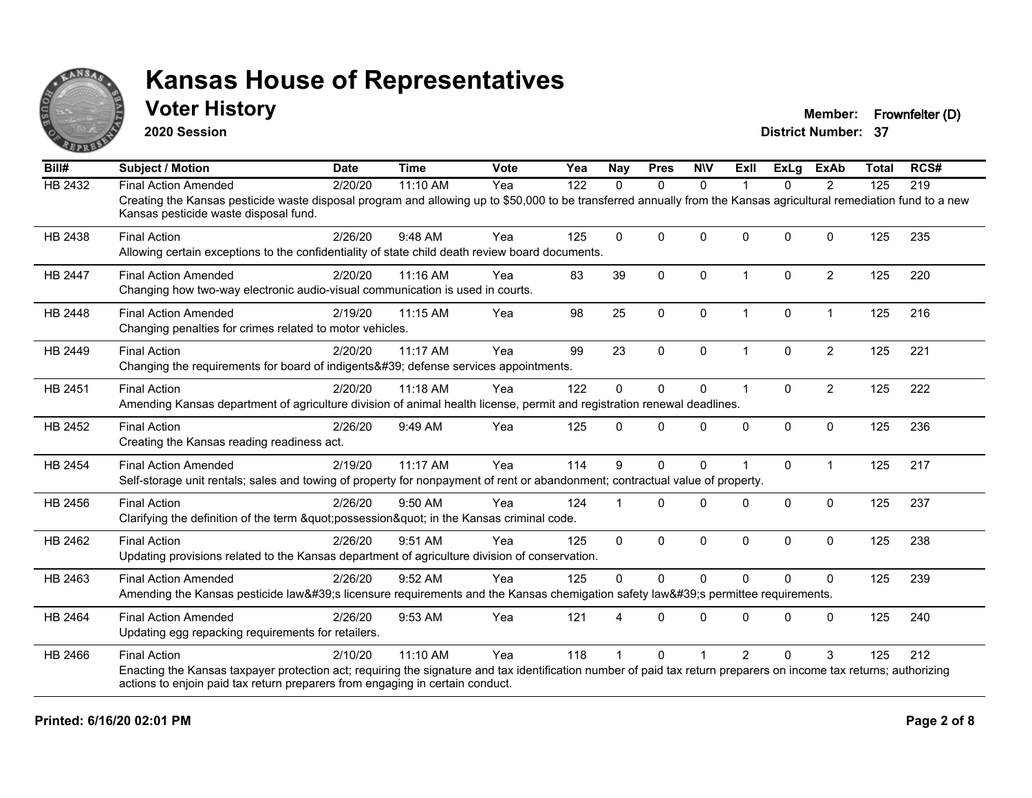

### **Voter History Member: Frownfelter (D)**

**2020 Session**

| Bill#          | <b>Subject / Motion</b>                                                                                                                                                                                     | <b>Date</b> | <b>Time</b> | <b>Vote</b> | Yea | <b>Nay</b>  | <b>Pres</b>  | <b>NIV</b>   | ExII           | ExLa         | <b>ExAb</b>    | <b>Total</b> | RCS# |
|----------------|-------------------------------------------------------------------------------------------------------------------------------------------------------------------------------------------------------------|-------------|-------------|-------------|-----|-------------|--------------|--------------|----------------|--------------|----------------|--------------|------|
| HB 2432        | <b>Final Action Amended</b>                                                                                                                                                                                 | 2/20/20     | $11:10$ AM  | Yea         | 122 | $\Omega$    | $\mathbf{0}$ | $\mathbf{0}$ |                | $\Omega$     | $\overline{2}$ | 125          | 219  |
|                | Creating the Kansas pesticide waste disposal program and allowing up to \$50,000 to be transferred annually from the Kansas agricultural remediation fund to a new<br>Kansas pesticide waste disposal fund. |             |             |             |     |             |              |              |                |              |                |              |      |
| HB 2438        | <b>Final Action</b>                                                                                                                                                                                         | 2/26/20     | 9:48 AM     | Yea         | 125 | $\mathbf 0$ | $\Omega$     | $\mathbf{0}$ | 0              | $\Omega$     | $\Omega$       | 125          | 235  |
|                | Allowing certain exceptions to the confidentiality of state child death review board documents.                                                                                                             |             |             |             |     |             |              |              |                |              |                |              |      |
| <b>HB 2447</b> | <b>Final Action Amended</b>                                                                                                                                                                                 | 2/20/20     | 11:16 AM    | Yea         | 83  | 39          | $\mathbf{0}$ | $\Omega$     | 1              | $\mathbf{0}$ | $\overline{2}$ | 125          | 220  |
|                | Changing how two-way electronic audio-visual communication is used in courts.                                                                                                                               |             |             |             |     |             |              |              |                |              |                |              |      |
| HB 2448        | <b>Final Action Amended</b>                                                                                                                                                                                 | 2/19/20     | 11:15 AM    | Yea         | 98  | 25          | $\mathbf 0$  | 0            | $\overline{1}$ | 0            | $\overline{1}$ | 125          | 216  |
|                | Changing penalties for crimes related to motor vehicles.                                                                                                                                                    |             |             |             |     |             |              |              |                |              |                |              |      |
| HB 2449        | <b>Final Action</b>                                                                                                                                                                                         | 2/20/20     | 11:17 AM    | Yea         | 99  | 23          | $\Omega$     | 0            |                | $\mathbf 0$  | $\overline{c}$ | 125          | 221  |
|                | Changing the requirements for board of indigents' defense services appointments.                                                                                                                            |             |             |             |     |             |              |              |                |              |                |              |      |
| HB 2451        | <b>Final Action</b>                                                                                                                                                                                         | 2/20/20     | 11:18 AM    | Yea         | 122 | $\mathbf 0$ | $\Omega$     | 0            | -1             | $\Omega$     | $\overline{2}$ | 125          | 222  |
|                | Amending Kansas department of agriculture division of animal health license, permit and registration renewal deadlines.                                                                                     |             |             |             |     |             |              |              |                |              |                |              |      |
| HB 2452        | <b>Final Action</b>                                                                                                                                                                                         | 2/26/20     | 9:49 AM     | Yea         | 125 | 0           | $\Omega$     | $\Omega$     | $\Omega$       | 0            | $\mathbf 0$    | 125          | 236  |
|                | Creating the Kansas reading readiness act.                                                                                                                                                                  |             |             |             |     |             |              |              |                |              |                |              |      |
| <b>HB 2454</b> | <b>Final Action Amended</b>                                                                                                                                                                                 | 2/19/20     | 11:17 AM    | Yea         | 114 | 9           | $\Omega$     | $\Omega$     |                | $\Omega$     | $\overline{1}$ | 125          | 217  |
|                | Self-storage unit rentals; sales and towing of property for nonpayment of rent or abandonment; contractual value of property.                                                                               |             |             |             |     |             |              |              |                |              |                |              |      |
| HB 2456        | <b>Final Action</b>                                                                                                                                                                                         | 2/26/20     | 9:50 AM     | Yea         | 124 |             | $\Omega$     | $\mathbf{0}$ | <sup>0</sup>   | 0            | $\mathbf 0$    | 125          | 237  |
|                | Clarifying the definition of the term "possession" in the Kansas criminal code.                                                                                                                             |             |             |             |     |             |              |              |                |              |                |              |      |
| HB 2462        | <b>Final Action</b>                                                                                                                                                                                         | 2/26/20     | 9:51 AM     | Yea         | 125 | $\Omega$    | $\Omega$     | $\Omega$     | $\Omega$       | $\Omega$     | $\Omega$       | 125          | 238  |
|                | Updating provisions related to the Kansas department of agriculture division of conservation.                                                                                                               |             |             |             |     |             |              |              |                |              |                |              |      |
| HB 2463        | <b>Final Action Amended</b>                                                                                                                                                                                 | 2/26/20     | 9:52 AM     | Yea         | 125 | $\Omega$    | $\Omega$     | $\mathbf{0}$ | $\Omega$       | $\Omega$     | $\Omega$       | 125          | 239  |
|                | Amending the Kansas pesticide law's licensure requirements and the Kansas chemigation safety law's permittee requirements.                                                                                  |             |             |             |     |             |              |              |                |              |                |              |      |
| HB 2464        | <b>Final Action Amended</b>                                                                                                                                                                                 | 2/26/20     | 9:53 AM     | Yea         | 121 | 4           | $\Omega$     | $\mathbf{0}$ | $\Omega$       | $\Omega$     | $\mathbf 0$    | 125          | 240  |
|                | Updating egg repacking requirements for retailers.                                                                                                                                                          |             |             |             |     |             |              |              |                |              |                |              |      |
| HB 2466        | <b>Final Action</b>                                                                                                                                                                                         | 2/10/20     | 11:10 AM    | Yea         | 118 |             | $\Omega$     |              | $\mathcal{P}$  | $\Omega$     | 3              | 125          | 212  |
|                | Enacting the Kansas taxpayer protection act; requiring the signature and tax identification number of paid tax return preparers on income tax returns; authorizing                                          |             |             |             |     |             |              |              |                |              |                |              |      |
|                | actions to enjoin paid tax return preparers from engaging in certain conduct.                                                                                                                               |             |             |             |     |             |              |              |                |              |                |              |      |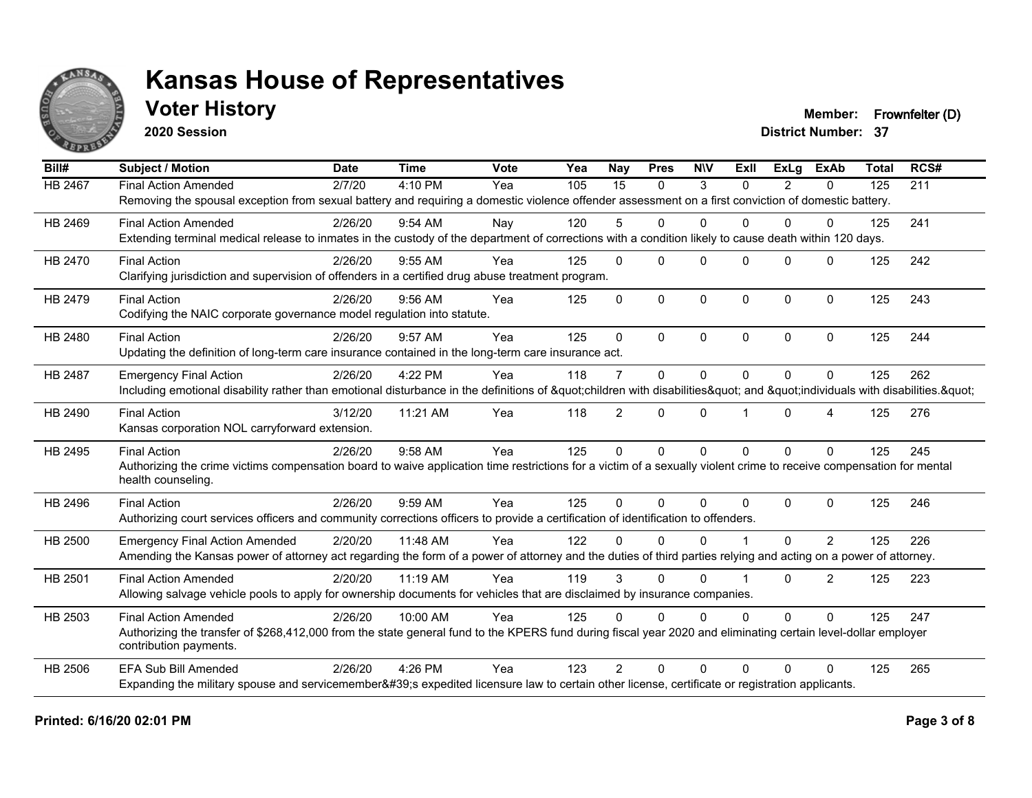

**2020 Session**

**Voter History Member: Frownfelter (D)** 

| Bill#          | <b>Subject / Motion</b>                                                                                                                                             | <b>Date</b> | <b>Time</b> | Vote | Yea | Nay            | <b>Pres</b>  | <b>NIV</b>   | ExII                    | ExLa     | <b>ExAb</b>    | <b>Total</b>                                                              | RCS# |
|----------------|---------------------------------------------------------------------------------------------------------------------------------------------------------------------|-------------|-------------|------|-----|----------------|--------------|--------------|-------------------------|----------|----------------|---------------------------------------------------------------------------|------|
| <b>HB 2467</b> | <b>Final Action Amended</b>                                                                                                                                         | 2/7/20      | 4:10 PM     | Yea  | 105 | 15             | $\mathbf{0}$ | 3            | $\Omega$                | 2        | $\Omega$       | 125                                                                       | 211  |
|                | Removing the spousal exception from sexual battery and requiring a domestic violence offender assessment on a first conviction of domestic battery.                 |             |             |      |     |                |              |              |                         |          |                |                                                                           |      |
| HB 2469        | <b>Final Action Amended</b>                                                                                                                                         | 2/26/20     | $9:54$ AM   | Nav  | 120 | 5              | $\Omega$     | 0            | $\Omega$                | 0        | $\Omega$       | 125<br>125<br>125<br>125<br>125<br>125<br>125<br>125<br>125<br>125<br>125 | 241  |
|                | Extending terminal medical release to inmates in the custody of the department of corrections with a condition likely to cause death within 120 days.               |             |             |      |     |                |              |              |                         |          |                |                                                                           |      |
| HB 2470        | <b>Final Action</b>                                                                                                                                                 | 2/26/20     | $9:55$ AM   | Yea  | 125 | $\Omega$       | $\Omega$     | $\Omega$     | $\Omega$                | $\Omega$ | $\Omega$       |                                                                           | 242  |
|                | Clarifying jurisdiction and supervision of offenders in a certified drug abuse treatment program.                                                                   |             |             |      |     |                |              |              |                         |          |                |                                                                           |      |
| HB 2479        | <b>Final Action</b>                                                                                                                                                 | 2/26/20     | $9:56$ AM   | Yea  | 125 | $\Omega$       | $\Omega$     | $\mathbf 0$  | $\Omega$                | $\Omega$ | $\mathbf 0$    |                                                                           | 243  |
|                | Codifying the NAIC corporate governance model regulation into statute.                                                                                              |             |             |      |     |                |              |              |                         |          |                |                                                                           |      |
| HB 2480        | <b>Final Action</b>                                                                                                                                                 | 2/26/20     | 9:57 AM     | Yea  | 125 | $\Omega$       | $\Omega$     | $\Omega$     | $\Omega$                | $\Omega$ | $\Omega$       |                                                                           | 244  |
|                | Updating the definition of long-term care insurance contained in the long-term care insurance act.                                                                  |             |             |      |     |                |              |              |                         |          |                |                                                                           |      |
| <b>HB 2487</b> | <b>Emergency Final Action</b>                                                                                                                                       | 2/26/20     | 4:22 PM     | Yea  | 118 | $\overline{7}$ | $\Omega$     | $\Omega$     | $\Omega$                | $\Omega$ | $\Omega$       |                                                                           | 262  |
|                | Including emotional disability rather than emotional disturbance in the definitions of "children with disabilities" and "individuals with disabilities. "           |             |             |      |     |                |              |              |                         |          |                |                                                                           |      |
| HB 2490        | <b>Final Action</b>                                                                                                                                                 | 3/12/20     | 11:21 AM    | Yea  | 118 | $\overline{2}$ | $\Omega$     | $\Omega$     |                         | $\Omega$ | 4              |                                                                           | 276  |
|                | Kansas corporation NOL carryforward extension.                                                                                                                      |             |             |      |     |                |              |              |                         |          |                |                                                                           |      |
| HB 2495        | <b>Final Action</b>                                                                                                                                                 | 2/26/20     | 9:58 AM     | Yea  | 125 | $\Omega$       | $\Omega$     | $\mathbf{0}$ | $\Omega$                | $\Omega$ | $\Omega$       |                                                                           | 245  |
|                | Authorizing the crime victims compensation board to waive application time restrictions for a victim of a sexually violent crime to receive compensation for mental |             |             |      |     |                |              |              |                         |          |                |                                                                           |      |
|                | health counseling.                                                                                                                                                  |             |             |      |     |                |              |              |                         |          |                |                                                                           |      |
| HB 2496        | <b>Final Action</b>                                                                                                                                                 | 2/26/20     | 9:59 AM     | Yea  | 125 | $\Omega$       | $\Omega$     | $\Omega$     | $\Omega$                | $\Omega$ | $\Omega$       |                                                                           | 246  |
|                | Authorizing court services officers and community corrections officers to provide a certification of identification to offenders.                                   |             |             |      |     |                |              |              |                         |          |                |                                                                           |      |
| HB 2500        | <b>Emergency Final Action Amended</b>                                                                                                                               | 2/20/20     | 11:48 AM    | Yea  | 122 | <sup>0</sup>   | $\Omega$     | $\Omega$     |                         | 0        | $\mathcal{P}$  |                                                                           | 226  |
|                | Amending the Kansas power of attorney act regarding the form of a power of attorney and the duties of third parties relying and acting on a power of attorney.      |             |             |      |     |                |              |              |                         |          |                |                                                                           |      |
| HB 2501        | <b>Final Action Amended</b>                                                                                                                                         | 2/20/20     | 11:19 AM    | Yea  | 119 | 3              | $\Omega$     | $\Omega$     | $\overline{\mathbf{1}}$ | $\Omega$ | $\overline{2}$ |                                                                           | 223  |
|                | Allowing salvage vehicle pools to apply for ownership documents for vehicles that are disclaimed by insurance companies.                                            |             |             |      |     |                |              |              |                         |          |                |                                                                           |      |
| HB 2503        | <b>Final Action Amended</b>                                                                                                                                         | 2/26/20     | 10:00 AM    | Yea  | 125 | $\Omega$       | $\Omega$     | $\mathbf 0$  | $\Omega$                | $\Omega$ | $\Omega$       |                                                                           | 247  |
|                | Authorizing the transfer of \$268,412,000 from the state general fund to the KPERS fund during fiscal year 2020 and eliminating certain level-dollar employer       |             |             |      |     |                |              |              |                         |          |                |                                                                           |      |
|                | contribution payments.                                                                                                                                              |             |             |      |     |                |              |              |                         |          |                |                                                                           |      |
| <b>HB 2506</b> | <b>EFA Sub Bill Amended</b>                                                                                                                                         | 2/26/20     | 4:26 PM     | Yea  | 123 | $\mathcal{P}$  | $\Omega$     | $\Omega$     | $\Omega$                | 0        | $\Omega$       | 125                                                                       | 265  |
|                | Expanding the military spouse and servicemember's expedited licensure law to certain other license, certificate or registration applicants.                         |             |             |      |     |                |              |              |                         |          |                |                                                                           |      |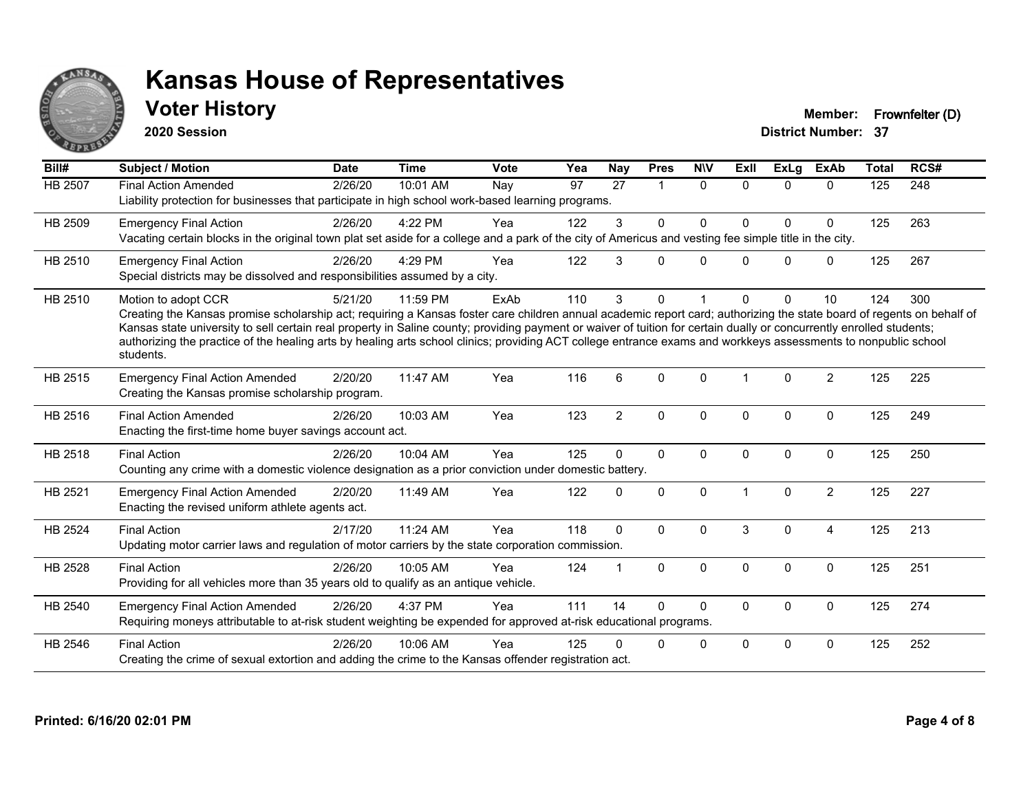

### **Voter History Member: Frownfelter (D)**

**2020 Session**

| Bill#          | <b>Subject / Motion</b>                                                                                                                                                                                                                                                                                                                                                                                                                                                                                                                             | <b>Date</b> | <b>Time</b> | <b>Vote</b> | Yea             | <b>Nay</b>           | <b>Pres</b>          | <b>NIV</b>   | Exll         | <b>ExLg</b>  | <b>ExAb</b>    | <b>Total</b> | RCS# |
|----------------|-----------------------------------------------------------------------------------------------------------------------------------------------------------------------------------------------------------------------------------------------------------------------------------------------------------------------------------------------------------------------------------------------------------------------------------------------------------------------------------------------------------------------------------------------------|-------------|-------------|-------------|-----------------|----------------------|----------------------|--------------|--------------|--------------|----------------|--------------|------|
| <b>HB 2507</b> | <b>Final Action Amended</b><br>Liability protection for businesses that participate in high school work-based learning programs.                                                                                                                                                                                                                                                                                                                                                                                                                    | 2/26/20     | 10:01 AM    | Nay         | $\overline{97}$ | $\overline{27}$      | $\blacktriangleleft$ | $\mathbf{0}$ | $\Omega$     | $\Omega$     | $\mathbf{0}$   | 125          | 248  |
| HB 2509        | <b>Emergency Final Action</b><br>Vacating certain blocks in the original town plat set aside for a college and a park of the city of Americus and vesting fee simple title in the city.                                                                                                                                                                                                                                                                                                                                                             | 2/26/20     | 4:22 PM     | Yea         | 122             | 3                    | $\mathbf{0}$         | $\Omega$     | $\Omega$     | $\Omega$     | $\Omega$       | 125          | 263  |
| HB 2510        | <b>Emergency Final Action</b><br>Special districts may be dissolved and responsibilities assumed by a city.                                                                                                                                                                                                                                                                                                                                                                                                                                         | 2/26/20     | 4:29 PM     | Yea         | 122             | 3                    | $\Omega$             | $\Omega$     | $\Omega$     | $\Omega$     | $\mathbf 0$    | 125          | 267  |
| HB 2510        | Motion to adopt CCR<br>Creating the Kansas promise scholarship act; requiring a Kansas foster care children annual academic report card; authorizing the state board of regents on behalf of<br>Kansas state university to sell certain real property in Saline county; providing payment or waiver of tuition for certain dually or concurrently enrolled students;<br>authorizing the practice of the healing arts by healing arts school clinics; providing ACT college entrance exams and workkeys assessments to nonpublic school<br>students. | 5/21/20     | 11:59 PM    | ExAb        | 110             | 3                    | $\Omega$             |              | 0            | $\Omega$     | 10             | 124          | 300  |
| HB 2515        | <b>Emergency Final Action Amended</b><br>Creating the Kansas promise scholarship program.                                                                                                                                                                                                                                                                                                                                                                                                                                                           | 2/20/20     | 11:47 AM    | Yea         | 116             | 6                    | $\Omega$             | $\Omega$     |              | $\Omega$     | $\overline{2}$ | 125          | 225  |
| HB 2516        | <b>Final Action Amended</b><br>Enacting the first-time home buyer savings account act.                                                                                                                                                                                                                                                                                                                                                                                                                                                              | 2/26/20     | 10:03 AM    | Yea         | 123             | $\overline{2}$       | $\mathbf 0$          | $\mathbf 0$  | $\Omega$     | $\mathbf 0$  | $\mathbf 0$    | 125          | 249  |
| <b>HB 2518</b> | <b>Final Action</b><br>Counting any crime with a domestic violence designation as a prior conviction under domestic battery.                                                                                                                                                                                                                                                                                                                                                                                                                        | 2/26/20     | 10:04 AM    | Yea         | 125             | $\Omega$             | $\mathbf 0$          | $\Omega$     | $\mathbf{0}$ | $\Omega$     | $\mathbf 0$    | 125          | 250  |
| HB 2521        | <b>Emergency Final Action Amended</b><br>Enacting the revised uniform athlete agents act.                                                                                                                                                                                                                                                                                                                                                                                                                                                           | 2/20/20     | 11:49 AM    | Yea         | 122             | $\Omega$             | 0                    | $\Omega$     |              | $\Omega$     | $\overline{2}$ | 125          | 227  |
| <b>HB 2524</b> | <b>Final Action</b><br>Updating motor carrier laws and regulation of motor carriers by the state corporation commission.                                                                                                                                                                                                                                                                                                                                                                                                                            | 2/17/20     | 11:24 AM    | Yea         | 118             | $\Omega$             | $\mathbf{0}$         | $\Omega$     | 3            | $\Omega$     | $\overline{A}$ | 125          | 213  |
| HB 2528        | <b>Final Action</b><br>Providing for all vehicles more than 35 years old to qualify as an antique vehicle.                                                                                                                                                                                                                                                                                                                                                                                                                                          | 2/26/20     | 10:05 AM    | Yea         | 124             | $\blacktriangleleft$ | $\mathbf{0}$         | $\mathbf{0}$ | $\Omega$     | $\Omega$     | $\mathbf{0}$   | 125          | 251  |
| HB 2540        | <b>Emergency Final Action Amended</b><br>Requiring moneys attributable to at-risk student weighting be expended for approved at-risk educational programs.                                                                                                                                                                                                                                                                                                                                                                                          | 2/26/20     | 4:37 PM     | Yea         | 111             | 14                   | $\Omega$             | $\Omega$     | $\mathbf{0}$ | $\Omega$     | $\mathbf{0}$   | 125          | 274  |
| HB 2546        | <b>Final Action</b><br>Creating the crime of sexual extortion and adding the crime to the Kansas offender registration act.                                                                                                                                                                                                                                                                                                                                                                                                                         | 2/26/20     | 10:06 AM    | Yea         | 125             |                      | 0                    | 0            | 0            | $\mathbf{0}$ | $\mathbf 0$    | 125          | 252  |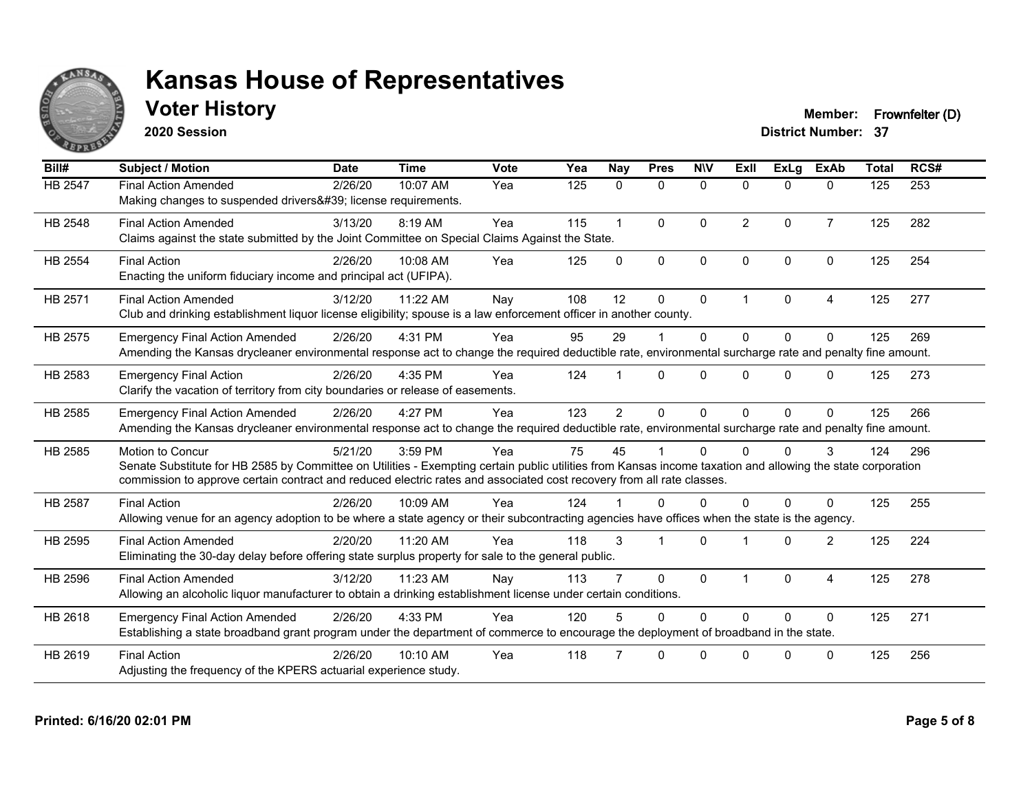

**2020 Session**

**Voter History Member: Frownfelter (D)** 

| Bill#          | <b>Subject / Motion</b>                                                                                                                                                                                                                                                                                  | <b>Date</b> | <b>Time</b> | Vote | Yea | Nay            | <b>Pres</b>  | <b>NIV</b>   | ExII           | <b>ExLg</b> | <b>ExAb</b>    | <b>Total</b> | RCS# |
|----------------|----------------------------------------------------------------------------------------------------------------------------------------------------------------------------------------------------------------------------------------------------------------------------------------------------------|-------------|-------------|------|-----|----------------|--------------|--------------|----------------|-------------|----------------|--------------|------|
| HB 2547        | <b>Final Action Amended</b><br>Making changes to suspended drivers' license requirements.                                                                                                                                                                                                                | 2/26/20     | 10:07 AM    | Yea  | 125 | $\mathbf{0}$   | $\mathbf{0}$ | $\mathbf{0}$ | $\mathbf{0}$   | $\Omega$    | $\mathbf{0}$   | 125          | 253  |
| HB 2548        | <b>Final Action Amended</b><br>Claims against the state submitted by the Joint Committee on Special Claims Against the State.                                                                                                                                                                            | 3/13/20     | 8:19 AM     | Yea  | 115 | $\mathbf{1}$   | $\Omega$     | $\mathbf{0}$ | $\overline{2}$ | $\Omega$    | $\overline{7}$ | 125          | 282  |
| <b>HB 2554</b> | <b>Final Action</b><br>Enacting the uniform fiduciary income and principal act (UFIPA).                                                                                                                                                                                                                  | 2/26/20     | 10:08 AM    | Yea  | 125 | $\Omega$       | $\Omega$     | $\mathbf{0}$ | $\Omega$       | $\Omega$    | $\mathbf{0}$   | 125          | 254  |
| HB 2571        | <b>Final Action Amended</b><br>Club and drinking establishment liquor license eligibility; spouse is a law enforcement officer in another county.                                                                                                                                                        | 3/12/20     | 11:22 AM    | Nay  | 108 | 12             | $\Omega$     | $\mathbf{0}$ | $\overline{1}$ | $\Omega$    | 4              | 125          | 277  |
| HB 2575        | <b>Emergency Final Action Amended</b><br>Amending the Kansas drycleaner environmental response act to change the required deductible rate, environmental surcharge rate and penalty fine amount.                                                                                                         | 2/26/20     | 4:31 PM     | Yea  | 95  | 29             |              | $\mathbf{0}$ | $\Omega$       | $\Omega$    | $\Omega$       | 125          | 269  |
| HB 2583        | <b>Emergency Final Action</b><br>Clarify the vacation of territory from city boundaries or release of easements.                                                                                                                                                                                         | 2/26/20     | 4:35 PM     | Yea  | 124 |                | $\Omega$     | $\Omega$     | 0              | $\Omega$    | 0              | 125          | 273  |
| HB 2585        | <b>Emergency Final Action Amended</b><br>Amending the Kansas drycleaner environmental response act to change the required deductible rate, environmental surcharge rate and penalty fine amount.                                                                                                         | 2/26/20     | 4:27 PM     | Yea  | 123 | $\overline{2}$ | $\Omega$     | $\Omega$     | $\Omega$       | $\Omega$    | $\Omega$       | 125          | 266  |
| HB 2585        | Motion to Concur<br>Senate Substitute for HB 2585 by Committee on Utilities - Exempting certain public utilities from Kansas income taxation and allowing the state corporation<br>commission to approve certain contract and reduced electric rates and associated cost recovery from all rate classes. | 5/21/20     | 3:59 PM     | Yea  | 75  | 45             |              | $\Omega$     | U              | 0           | 3              | 124          | 296  |
| <b>HB 2587</b> | <b>Final Action</b><br>Allowing venue for an agency adoption to be where a state agency or their subcontracting agencies have offices when the state is the agency.                                                                                                                                      | 2/26/20     | 10:09 AM    | Yea  | 124 |                | 0            | $\Omega$     | 0              | 0           | $\Omega$       | 125          | 255  |
| HB 2595        | <b>Final Action Amended</b><br>Eliminating the 30-day delay before offering state surplus property for sale to the general public.                                                                                                                                                                       | 2/20/20     | 11:20 AM    | Yea  | 118 | 3              |              | $\Omega$     |                | $\Omega$    | $\overline{2}$ | 125          | 224  |
| HB 2596        | <b>Final Action Amended</b><br>Allowing an alcoholic liquor manufacturer to obtain a drinking establishment license under certain conditions.                                                                                                                                                            | 3/12/20     | 11:23 AM    | Nay  | 113 |                | $\Omega$     | $\mathbf{0}$ | $\overline{1}$ | $\Omega$    | 4              | 125          | 278  |
| HB 2618        | <b>Emergency Final Action Amended</b><br>Establishing a state broadband grant program under the department of commerce to encourage the deployment of broadband in the state.                                                                                                                            | 2/26/20     | 4:33 PM     | Yea  | 120 |                | $\Omega$     | $\Omega$     | $\Omega$       | $\Omega$    | $\Omega$       | 125          | 271  |
| HB 2619        | <b>Final Action</b><br>Adjusting the frequency of the KPERS actuarial experience study.                                                                                                                                                                                                                  | 2/26/20     | 10:10 AM    | Yea  | 118 |                | $\Omega$     | $\Omega$     | <sup>n</sup>   | O           | $\Omega$       | 125          | 256  |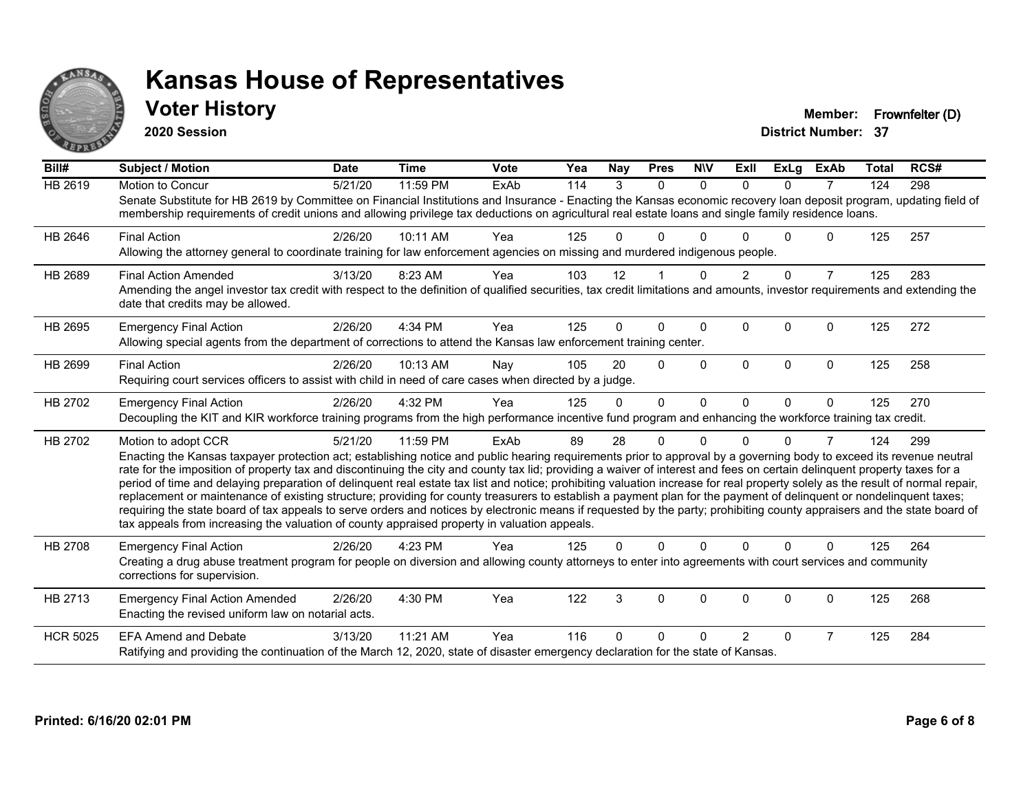

**2020 Session**

**Voter History Member: Frownfelter (D)** 

| Bill#           | Subject / Motion                                                                                                                                                                                                                                                                                                                                                                                                                                                                                                                                                                                                                                                                                                                                                                                                                                                                                                                                                                                              | <b>Date</b> | <b>Time</b> | <b>Vote</b> | Yea | <b>Nay</b> | <b>Pres</b>  | <b>NIV</b>   | ExII           | ExLg     | <b>ExAb</b>    | Total | RCS# |
|-----------------|---------------------------------------------------------------------------------------------------------------------------------------------------------------------------------------------------------------------------------------------------------------------------------------------------------------------------------------------------------------------------------------------------------------------------------------------------------------------------------------------------------------------------------------------------------------------------------------------------------------------------------------------------------------------------------------------------------------------------------------------------------------------------------------------------------------------------------------------------------------------------------------------------------------------------------------------------------------------------------------------------------------|-------------|-------------|-------------|-----|------------|--------------|--------------|----------------|----------|----------------|-------|------|
| <b>HB 2619</b>  | Motion to Concur<br>Senate Substitute for HB 2619 by Committee on Financial Institutions and Insurance - Enacting the Kansas economic recovery loan deposit program, updating field of<br>membership requirements of credit unions and allowing privilege tax deductions on agricultural real estate loans and single family residence loans.                                                                                                                                                                                                                                                                                                                                                                                                                                                                                                                                                                                                                                                                 | 5/21/20     | 11:59 PM    | ExAb        | 114 | 3          | $\Omega$     | $\mathbf{0}$ | $\Omega$       | $\Omega$ | $\overline{7}$ | 124   | 298  |
| HB 2646         | <b>Final Action</b><br>Allowing the attorney general to coordinate training for law enforcement agencies on missing and murdered indigenous people.                                                                                                                                                                                                                                                                                                                                                                                                                                                                                                                                                                                                                                                                                                                                                                                                                                                           | 2/26/20     | 10:11 AM    | Yea         | 125 | 0          | 0            | $\Omega$     |                | 0        | $\mathbf{0}$   | 125   | 257  |
| HB 2689         | <b>Final Action Amended</b><br>Amending the angel investor tax credit with respect to the definition of qualified securities, tax credit limitations and amounts, investor requirements and extending the<br>date that credits may be allowed.                                                                                                                                                                                                                                                                                                                                                                                                                                                                                                                                                                                                                                                                                                                                                                | 3/13/20     | 8:23 AM     | Yea         | 103 | 12         |              | $\Omega$     |                | $\Omega$ | 7              | 125   | 283  |
| HB 2695         | <b>Emergency Final Action</b><br>Allowing special agents from the department of corrections to attend the Kansas law enforcement training center.                                                                                                                                                                                                                                                                                                                                                                                                                                                                                                                                                                                                                                                                                                                                                                                                                                                             | 2/26/20     | 4:34 PM     | Yea         | 125 | $\Omega$   | $\Omega$     | $\Omega$     | $\Omega$       | 0        | $\mathbf{0}$   | 125   | 272  |
| HB 2699         | <b>Final Action</b><br>Requiring court services officers to assist with child in need of care cases when directed by a judge.                                                                                                                                                                                                                                                                                                                                                                                                                                                                                                                                                                                                                                                                                                                                                                                                                                                                                 | 2/26/20     | 10:13 AM    | Nay         | 105 | 20         | $\Omega$     | $\Omega$     | $\Omega$       | 0        | $\mathbf 0$    | 125   | 258  |
| HB 2702         | <b>Emergency Final Action</b><br>Decoupling the KIT and KIR workforce training programs from the high performance incentive fund program and enhancing the workforce training tax credit.                                                                                                                                                                                                                                                                                                                                                                                                                                                                                                                                                                                                                                                                                                                                                                                                                     | 2/26/20     | 4:32 PM     | Yea         | 125 | $\Omega$   | $\mathbf{0}$ | $\Omega$     | $\Omega$       | $\Omega$ | $\mathbf{0}$   | 125   | 270  |
| HB 2702         | Motion to adopt CCR<br>Enacting the Kansas taxpayer protection act; establishing notice and public hearing requirements prior to approval by a governing body to exceed its revenue neutral<br>rate for the imposition of property tax and discontinuing the city and county tax lid; providing a waiver of interest and fees on certain delinquent property taxes for a<br>period of time and delaying preparation of delinquent real estate tax list and notice; prohibiting valuation increase for real property solely as the result of normal repair,<br>replacement or maintenance of existing structure; providing for county treasurers to establish a payment plan for the payment of delinquent or nondelinquent taxes;<br>requiring the state board of tax appeals to serve orders and notices by electronic means if requested by the party; prohibiting county appraisers and the state board of<br>tax appeals from increasing the valuation of county appraised property in valuation appeals. | 5/21/20     | 11:59 PM    | ExAb        | 89  | 28         | 0            | $\Omega$     | 0              | 0        | 7              | 124   | 299  |
| <b>HB 2708</b>  | <b>Emergency Final Action</b><br>Creating a drug abuse treatment program for people on diversion and allowing county attorneys to enter into agreements with court services and community<br>corrections for supervision.                                                                                                                                                                                                                                                                                                                                                                                                                                                                                                                                                                                                                                                                                                                                                                                     | 2/26/20     | 4:23 PM     | Yea         | 125 | $\Omega$   | $\Omega$     | $\Omega$     | $\Omega$       | $\Omega$ | $\Omega$       | 125   | 264  |
| HB 2713         | <b>Emergency Final Action Amended</b><br>Enacting the revised uniform law on notarial acts.                                                                                                                                                                                                                                                                                                                                                                                                                                                                                                                                                                                                                                                                                                                                                                                                                                                                                                                   | 2/26/20     | 4:30 PM     | Yea         | 122 | 3          | $\mathbf 0$  | $\mathbf 0$  | $\Omega$       | 0        | $\mathbf 0$    | 125   | 268  |
| <b>HCR 5025</b> | <b>EFA Amend and Debate</b><br>Ratifying and providing the continuation of the March 12, 2020, state of disaster emergency declaration for the state of Kansas.                                                                                                                                                                                                                                                                                                                                                                                                                                                                                                                                                                                                                                                                                                                                                                                                                                               | 3/13/20     | 11:21 AM    | Yea         | 116 | 0          | 0            | n            | $\overline{2}$ | 0        | 7              | 125   | 284  |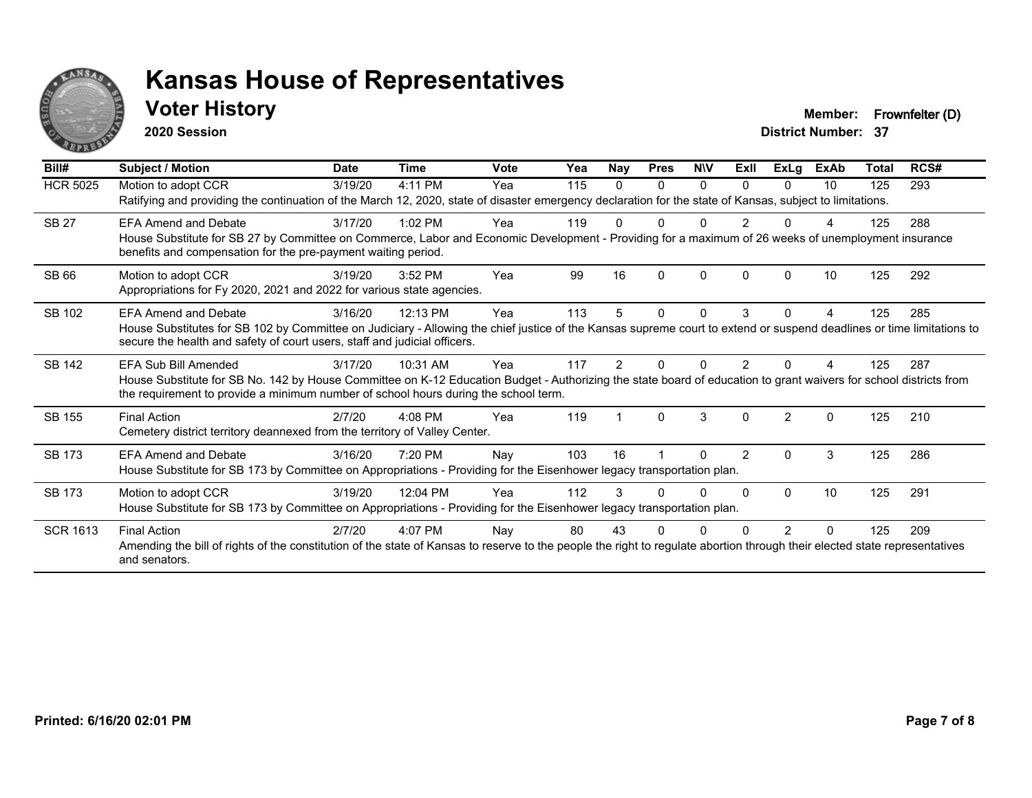

### **Voter History Member: Frownfelter (D)**

**2020 Session**

| Bill#           | Subject / Motion                                                                                                                                                                                                                                         | <b>Date</b> | <b>Time</b> | Vote | Yea | Nay | <b>Pres</b> | <b>NIV</b> | ExII           | ExLg           | <b>ExAb</b> | Total | RCS# |
|-----------------|----------------------------------------------------------------------------------------------------------------------------------------------------------------------------------------------------------------------------------------------------------|-------------|-------------|------|-----|-----|-------------|------------|----------------|----------------|-------------|-------|------|
| <b>HCR 5025</b> | Motion to adopt CCR                                                                                                                                                                                                                                      | 3/19/20     | 4:11 PM     | Yea  | 115 | 0   | $\Omega$    | $\Omega$   | $\Omega$       | 0              | 10          | 125   | 293  |
|                 | Ratifying and providing the continuation of the March 12, 2020, state of disaster emergency declaration for the state of Kansas, subject to limitations.                                                                                                 |             |             |      |     |     |             |            |                |                |             |       |      |
| <b>SB 27</b>    | FFA Amend and Debate                                                                                                                                                                                                                                     | 3/17/20     | $1:02$ PM   | Yea  | 119 |     | ŋ           |            | $\mathcal{P}$  |                |             | 125   | 288  |
|                 | House Substitute for SB 27 by Committee on Commerce, Labor and Economic Development - Providing for a maximum of 26 weeks of unemployment insurance<br>benefits and compensation for the pre-payment waiting period.                                     |             |             |      |     |     |             |            |                |                |             |       |      |
| SB 66           | Motion to adopt CCR                                                                                                                                                                                                                                      | 3/19/20     | 3:52 PM     | Yea  | 99  | 16  | $\Omega$    | $\Omega$   | $\Omega$       | O              | 10          | 125   | 292  |
|                 | Appropriations for Fy 2020, 2021 and 2022 for various state agencies.                                                                                                                                                                                    |             |             |      |     |     |             |            |                |                |             |       |      |
| SB 102          | FFA Amend and Debate                                                                                                                                                                                                                                     | 3/16/20     | 12:13 PM    | Yea  | 113 | 5.  | $\Omega$    | $\Omega$   | 3              | 0              | 4           | 125   | 285  |
|                 | House Substitutes for SB 102 by Committee on Judiciary - Allowing the chief justice of the Kansas supreme court to extend or suspend deadlines or time limitations to<br>secure the health and safety of court users, staff and judicial officers.       |             |             |      |     |     |             |            |                |                |             |       |      |
| SB 142          | EFA Sub Bill Amended                                                                                                                                                                                                                                     | 3/17/20     | 10:31 AM    | Yea  | 117 |     |             | n          |                |                |             | 125   | 287  |
|                 | House Substitute for SB No. 142 by House Committee on K-12 Education Budget - Authorizing the state board of education to grant waivers for school districts from<br>the requirement to provide a minimum number of school hours during the school term. |             |             |      |     |     |             |            |                |                |             |       |      |
| SB 155          | <b>Final Action</b>                                                                                                                                                                                                                                      | 2/7/20      | $4:08$ PM   | Yea  | 119 |     | $\Omega$    | 3          | $\Omega$       | $\mathfrak{p}$ | $\Omega$    | 125   | 210  |
|                 | Cemetery district territory deannexed from the territory of Valley Center.                                                                                                                                                                               |             |             |      |     |     |             |            |                |                |             |       |      |
| <b>SB 173</b>   | <b>EFA Amend and Debate</b>                                                                                                                                                                                                                              | 3/16/20     | 7:20 PM     | Nay  | 103 | 16  |             | 0          | $\overline{2}$ | $\Omega$       | 3           | 125   | 286  |
|                 | House Substitute for SB 173 by Committee on Appropriations - Providing for the Eisenhower legacy transportation plan.                                                                                                                                    |             |             |      |     |     |             |            |                |                |             |       |      |
| <b>SB 173</b>   | Motion to adopt CCR                                                                                                                                                                                                                                      | 3/19/20     | 12:04 PM    | Yea  | 112 |     |             | U          | $\Omega$       | $\Omega$       | 10          | 125   | 291  |
|                 | House Substitute for SB 173 by Committee on Appropriations - Providing for the Eisenhower legacy transportation plan.                                                                                                                                    |             |             |      |     |     |             |            |                |                |             |       |      |
| <b>SCR 1613</b> | <b>Final Action</b>                                                                                                                                                                                                                                      | 2/7/20      | 4:07 PM     | Nay  | 80  | 43  |             |            |                | 2              | $\Omega$    | 125   | 209  |
|                 | Amending the bill of rights of the constitution of the state of Kansas to reserve to the people the right to regulate abortion through their elected state representatives<br>and senators.                                                              |             |             |      |     |     |             |            |                |                |             |       |      |